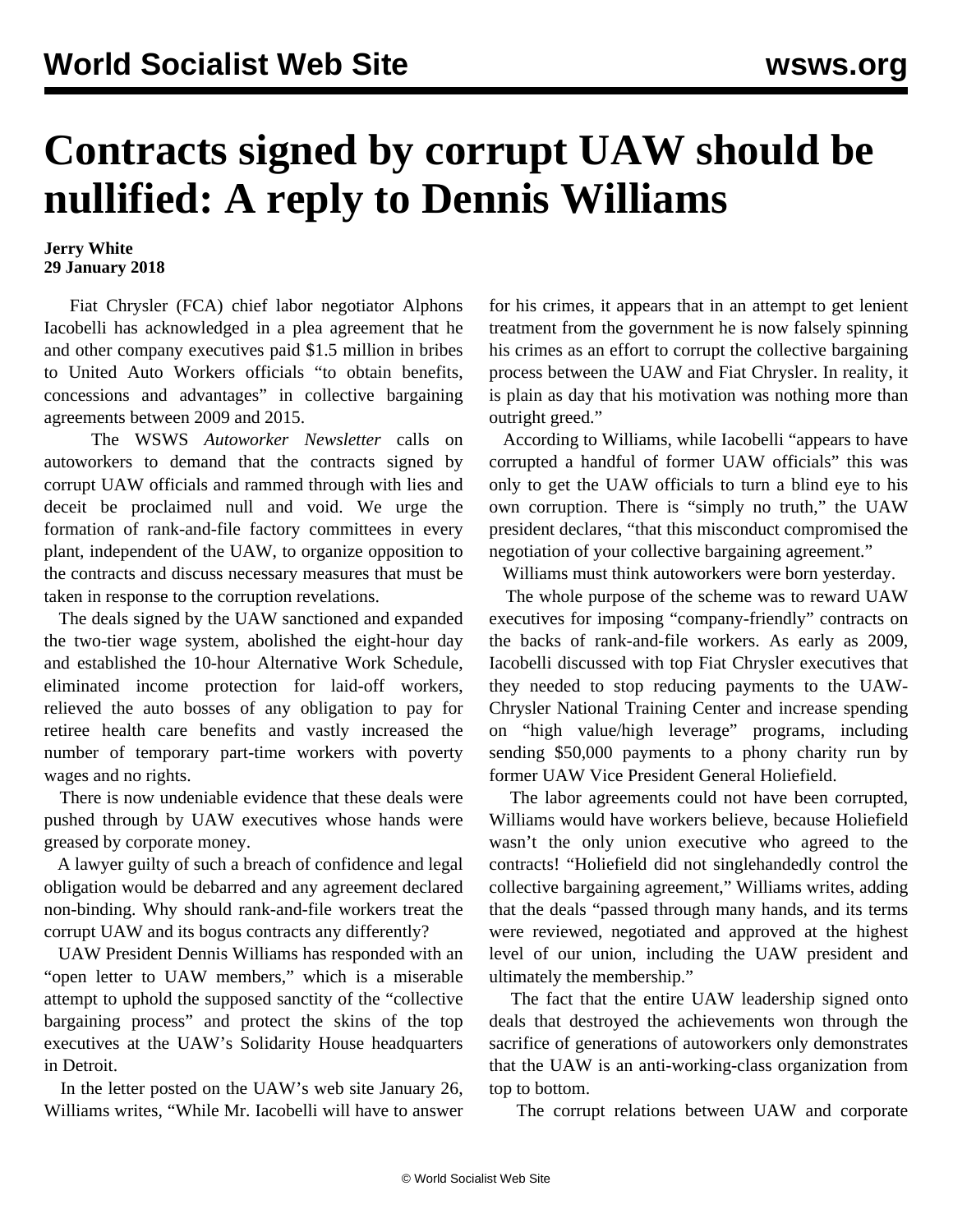## **Contracts signed by corrupt UAW should be nullified: A reply to Dennis Williams**

## **Jerry White 29 January 2018**

 Fiat Chrysler (FCA) chief labor negotiator Alphons Iacobelli has acknowledged in a plea agreement that he and other company executives paid \$1.5 million in bribes to United Auto Workers officials "to obtain benefits, concessions and advantages" in collective bargaining agreements between 2009 and 2015.

 The WSWS *Autoworker Newsletter* calls on autoworkers to demand that the contracts signed by corrupt UAW officials and rammed through with lies and deceit be proclaimed null and void. We urge the formation of rank-and-file factory committees in every plant, independent of the UAW, to organize opposition to the contracts and discuss necessary measures that must be taken in response to the corruption revelations.

 The deals signed by the UAW sanctioned and expanded the two-tier wage system, abolished the eight-hour day and established the 10-hour Alternative Work Schedule, eliminated income protection for laid-off workers, relieved the auto bosses of any obligation to pay for retiree health care benefits and vastly increased the number of temporary part-time workers with poverty wages and no rights.

 There is now undeniable evidence that these deals were pushed through by UAW executives whose hands were greased by corporate money.

 A lawyer guilty of such a breach of confidence and legal obligation would be debarred and any agreement declared non-binding. Why should rank-and-file workers treat the corrupt UAW and its bogus contracts any differently?

 UAW President Dennis Williams has responded with an "open letter to UAW members," which is a miserable attempt to uphold the supposed sanctity of the "collective bargaining process" and protect the skins of the top executives at the UAW's Solidarity House headquarters in Detroit.

 In the letter posted on the UAW's web site January 26, Williams writes, "While Mr. Iacobelli will have to answer for his crimes, it appears that in an attempt to get lenient treatment from the government he is now falsely spinning his crimes as an effort to corrupt the collective bargaining process between the UAW and Fiat Chrysler. In reality, it is plain as day that his motivation was nothing more than outright greed."

 According to Williams, while Iacobelli "appears to have corrupted a handful of former UAW officials" this was only to get the UAW officials to turn a blind eye to his own corruption. There is "simply no truth," the UAW president declares, "that this misconduct compromised the negotiation of your collective bargaining agreement."

Williams must think autoworkers were born yesterday.

 The whole purpose of the scheme was to reward UAW executives for imposing "company-friendly" contracts on the backs of rank-and-file workers. As early as 2009, Iacobelli discussed with top Fiat Chrysler executives that they needed to stop reducing payments to the UAW-Chrysler National Training Center and increase spending on "high value/high leverage" programs, including sending \$50,000 payments to a phony charity run by former UAW Vice President General Holiefield.

 The labor agreements could not have been corrupted, Williams would have workers believe, because Holiefield wasn't the only union executive who agreed to the contracts! "Holiefield did not singlehandedly control the collective bargaining agreement," Williams writes, adding that the deals "passed through many hands, and its terms were reviewed, negotiated and approved at the highest level of our union, including the UAW president and ultimately the membership."

 The fact that the entire UAW leadership signed onto deals that destroyed the achievements won through the sacrifice of generations of autoworkers only demonstrates that the UAW is an anti-working-class organization from top to bottom.

The corrupt relations between UAW and corporate